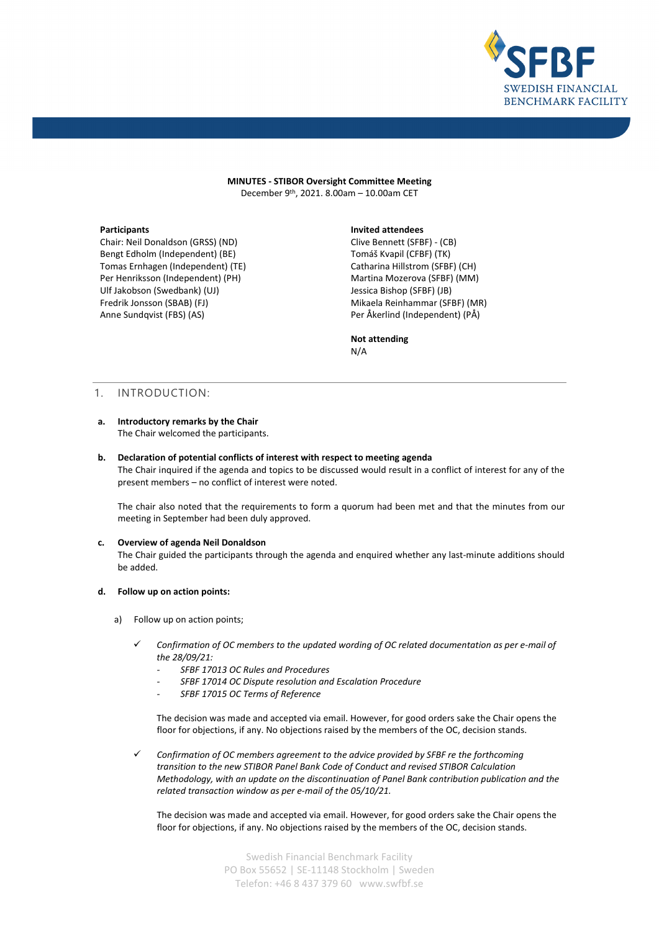

**MINUTES - STIBOR Oversight Committee Meeting** December 9th, 2021. 8.00am – 10.00am CET

Chair: Neil Donaldson (GRSS) (ND) Bengt Edholm (Independent) (BE) Tomas Ernhagen (Independent) (TE) Per Henriksson (Independent) (PH) Ulf Jakobson (Swedbank) (UJ) Fredrik Jonsson (SBAB) (FJ) Anne Sundqvist (FBS) (AS)

## **Participants Invited attendees**

Clive Bennett (SFBF) - (CB) Tomáš Kvapil (CFBF) (TK) Catharina Hillstrom (SFBF) (CH) Martina Mozerova (SFBF) (MM) Jessica Bishop (SFBF) (JB) Mikaela Reinhammar (SFBF) (MR) Per Åkerlind (Independent) (PÅ)

**Not attending** N/A

## 1. INTRODUCTION:

## **a. Introductory remarks by the Chair**

The Chair welcomed the participants.

## **b. Declaration of potential conflicts of interest with respect to meeting agenda** The Chair inquired if the agenda and topics to be discussed would result in a conflict of interest for any of the

present members – no conflict of interest were noted.

The chair also noted that the requirements to form a quorum had been met and that the minutes from our meeting in September had been duly approved.

## **c. Overview of agenda Neil Donaldson**

The Chair guided the participants through the agenda and enquired whether any last-minute additions should be added.

#### **d. Follow up on action points:**

- a) Follow up on action points;
	- *Confirmation of OC members to the updated wording of OC related documentation as per e-mail of the 28/09/21:*
		- *- SFBF 17013 OC Rules and Procedures*
		- *- SFBF 17014 OC Dispute resolution and Escalation Procedure*
		- *- SFBF 17015 OC Terms of Reference*

The decision was made and accepted via email. However, for good orders sake the Chair opens the floor for objections, if any. No objections raised by the members of the OC, decision stands.

 *Confirmation of OC members agreement to the advice provided by SFBF re the forthcoming transition to the new STIBOR Panel Bank Code of Conduct and revised STIBOR Calculation Methodology, with an update on the discontinuation of Panel Bank contribution publication and the related transaction window as per e-mail of the 05/10/21.*

The decision was made and accepted via email. However, for good orders sake the Chair opens the floor for objections, if any. No objections raised by the members of the OC, decision stands.

> Swedish Financial Benchmark Facility PO Box 55652 | SE-11148 Stockholm | Sweden Telefon: +46 8 437 379 60 www.swfbf.se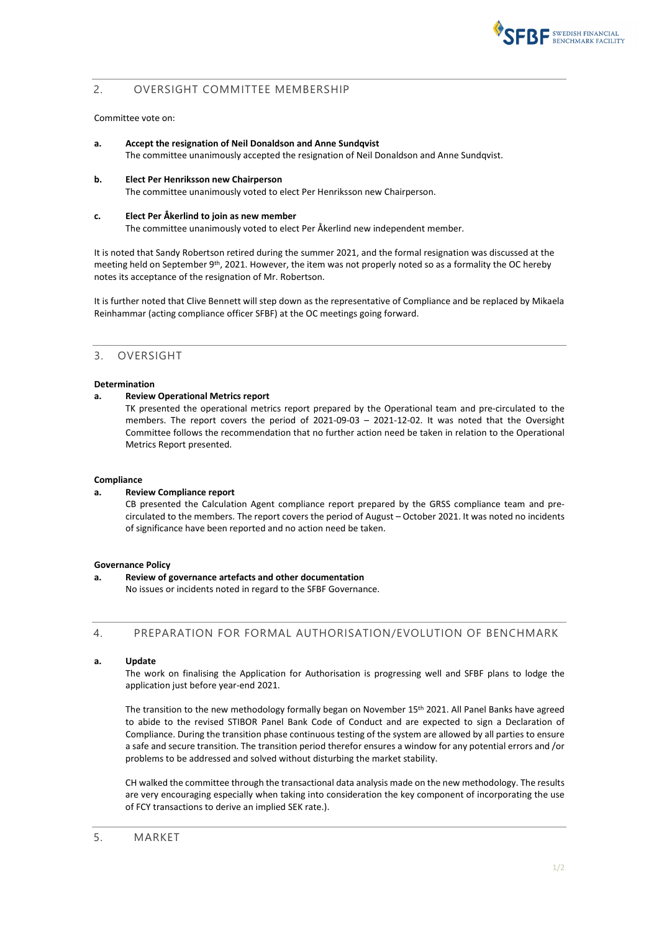

# 2. OVERSIGHT COMMITTEE MEMBERSHIP

## Committee vote on:

- **a. Accept the resignation of Neil Donaldson and Anne Sundqvist** The committee unanimously accepted the resignation of Neil Donaldson and Anne Sundqvist.
- **b. Elect Per Henriksson new Chairperson** The committee unanimously voted to elect Per Henriksson new Chairperson.
- **c. Elect Per Åkerlind to join as new member**

The committee unanimously voted to elect Per Åkerlind new independent member.

It is noted that Sandy Robertson retired during the summer 2021, and the formal resignation was discussed at the meeting held on September 9<sup>th</sup>, 2021. However, the item was not properly noted so as a formality the OC hereby notes its acceptance of the resignation of Mr. Robertson.

It is further noted that Clive Bennett will step down as the representative of Compliance and be replaced by Mikaela Reinhammar (acting compliance officer SFBF) at the OC meetings going forward.

## 3. OVERSIGHT

#### **Determination**

## **a. Review Operational Metrics report**

TK presented the operational metrics report prepared by the Operational team and pre-circulated to the members. The report covers the period of 2021-09-03 – 2021-12-02. It was noted that the Oversight Committee follows the recommendation that no further action need be taken in relation to the Operational Metrics Report presented.

#### **Compliance**

## **a. Review Compliance report**

CB presented the Calculation Agent compliance report prepared by the GRSS compliance team and precirculated to the members. The report covers the period of August – October 2021. It was noted no incidents of significance have been reported and no action need be taken.

## **Governance Policy**

**a. Review of governance artefacts and other documentation** No issues or incidents noted in regard to the SFBF Governance.

## 4. PREPARATION FOR FORMAL AUTHORISATION/EVOLUTION OF BENCHMARK

**a. Update** 

The work on finalising the Application for Authorisation is progressing well and SFBF plans to lodge the application just before year-end 2021.

The transition to the new methodology formally began on November 15th 2021. All Panel Banks have agreed to abide to the revised STIBOR Panel Bank Code of Conduct and are expected to sign a Declaration of Compliance. During the transition phase continuous testing of the system are allowed by all parties to ensure a safe and secure transition. The transition period therefor ensures a window for any potential errors and /or problems to be addressed and solved without disturbing the market stability.

CH walked the committee through the transactional data analysis made on the new methodology. The results are very encouraging especially when taking into consideration the key component of incorporating the use of FCY transactions to derive an implied SEK rate.).